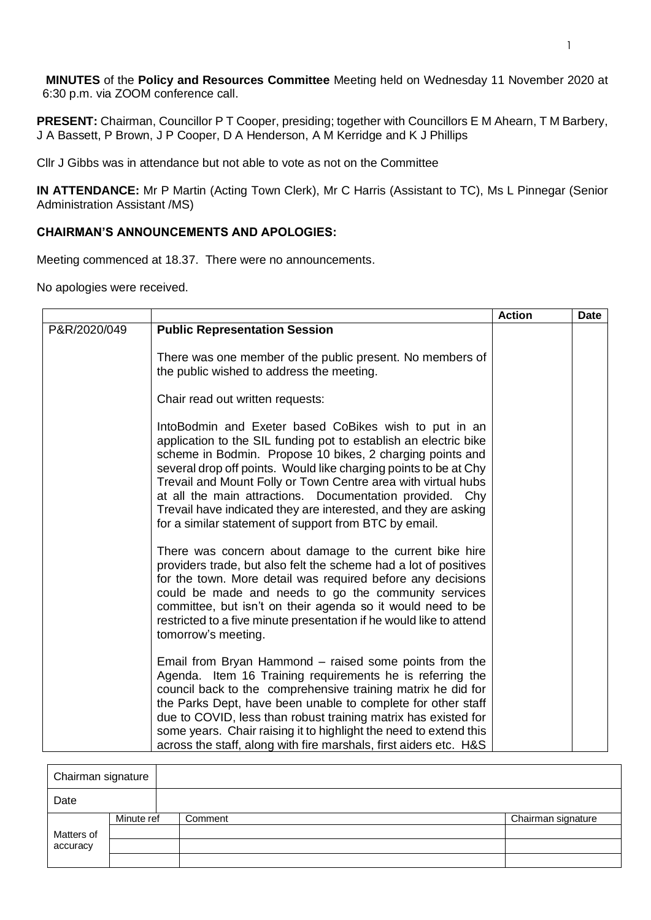**MINUTES** of the **Policy and Resources Committee** Meeting held on Wednesday 11 November 2020 at 6:30 p.m. via ZOOM conference call.

**PRESENT:** Chairman, Councillor P T Cooper, presiding; together with Councillors E M Ahearn, T M Barbery, J A Bassett, P Brown, J P Cooper, D A Henderson, A M Kerridge and K J Phillips

Cllr J Gibbs was in attendance but not able to vote as not on the Committee

**IN ATTENDANCE:** Mr P Martin (Acting Town Clerk), Mr C Harris (Assistant to TC), Ms L Pinnegar (Senior Administration Assistant /MS)

## **CHAIRMAN'S ANNOUNCEMENTS AND APOLOGIES:**

Meeting commenced at 18.37. There were no announcements.

No apologies were received.

|              |                                                                                                                                                                                                                                                                                                                                                                                                                                                                                                                      | <b>Action</b> | <b>Date</b> |
|--------------|----------------------------------------------------------------------------------------------------------------------------------------------------------------------------------------------------------------------------------------------------------------------------------------------------------------------------------------------------------------------------------------------------------------------------------------------------------------------------------------------------------------------|---------------|-------------|
| P&R/2020/049 | <b>Public Representation Session</b>                                                                                                                                                                                                                                                                                                                                                                                                                                                                                 |               |             |
|              | There was one member of the public present. No members of<br>the public wished to address the meeting.                                                                                                                                                                                                                                                                                                                                                                                                               |               |             |
|              | Chair read out written requests:                                                                                                                                                                                                                                                                                                                                                                                                                                                                                     |               |             |
|              | Into Bodmin and Exeter based CoBikes wish to put in an<br>application to the SIL funding pot to establish an electric bike<br>scheme in Bodmin. Propose 10 bikes, 2 charging points and<br>several drop off points. Would like charging points to be at Chy<br>Trevail and Mount Folly or Town Centre area with virtual hubs<br>at all the main attractions. Documentation provided. Chy<br>Trevail have indicated they are interested, and they are asking<br>for a similar statement of support from BTC by email. |               |             |
|              | There was concern about damage to the current bike hire<br>providers trade, but also felt the scheme had a lot of positives<br>for the town. More detail was required before any decisions<br>could be made and needs to go the community services<br>committee, but isn't on their agenda so it would need to be<br>restricted to a five minute presentation if he would like to attend<br>tomorrow's meeting.                                                                                                      |               |             |
|              | Email from Bryan Hammond – raised some points from the<br>Agenda. Item 16 Training requirements he is referring the<br>council back to the comprehensive training matrix he did for<br>the Parks Dept, have been unable to complete for other staff<br>due to COVID, less than robust training matrix has existed for<br>some years. Chair raising it to highlight the need to extend this<br>across the staff, along with fire marshals, first aiders etc. H&S                                                      |               |             |

| Chairman signature |            |         |  |                    |
|--------------------|------------|---------|--|--------------------|
| Date               |            |         |  |                    |
|                    | Minute ref | Comment |  | Chairman signature |
| Matters of         |            |         |  |                    |
| accuracy           |            |         |  |                    |
|                    |            |         |  |                    |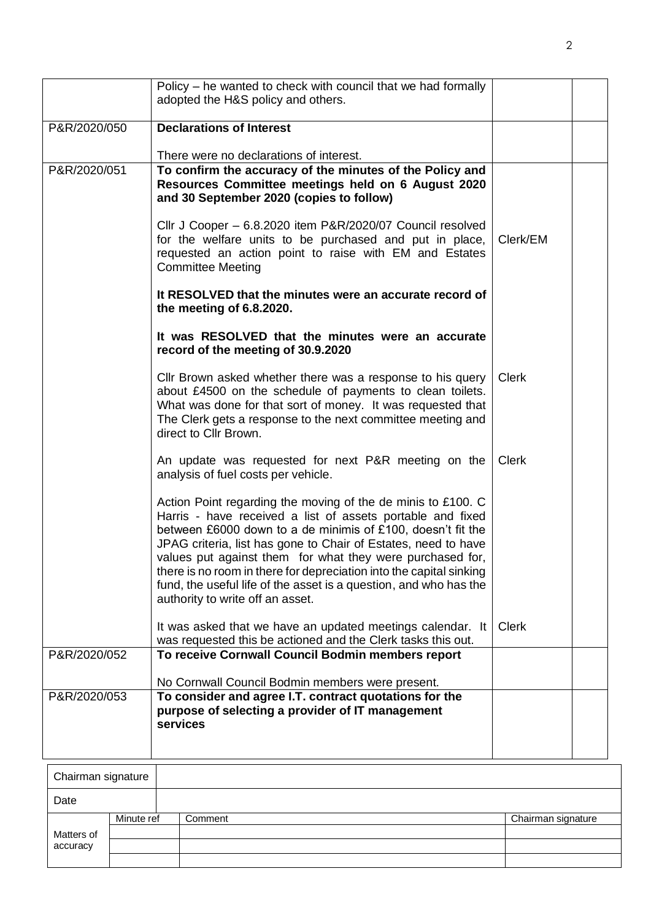|              | Policy – he wanted to check with council that we had formally<br>adopted the H&S policy and others.                                                                                                                                                                                                                                                                                                                                                                                                      |              |  |
|--------------|----------------------------------------------------------------------------------------------------------------------------------------------------------------------------------------------------------------------------------------------------------------------------------------------------------------------------------------------------------------------------------------------------------------------------------------------------------------------------------------------------------|--------------|--|
| P&R/2020/050 | <b>Declarations of Interest</b>                                                                                                                                                                                                                                                                                                                                                                                                                                                                          |              |  |
|              | There were no declarations of interest.                                                                                                                                                                                                                                                                                                                                                                                                                                                                  |              |  |
| P&R/2020/051 | To confirm the accuracy of the minutes of the Policy and<br>Resources Committee meetings held on 6 August 2020<br>and 30 September 2020 (copies to follow)                                                                                                                                                                                                                                                                                                                                               |              |  |
|              | Cllr J Cooper - 6.8.2020 item P&R/2020/07 Council resolved<br>for the welfare units to be purchased and put in place,<br>requested an action point to raise with EM and Estates<br><b>Committee Meeting</b>                                                                                                                                                                                                                                                                                              | Clerk/EM     |  |
|              | It RESOLVED that the minutes were an accurate record of<br>the meeting of 6.8.2020.                                                                                                                                                                                                                                                                                                                                                                                                                      |              |  |
|              | It was RESOLVED that the minutes were an accurate<br>record of the meeting of 30.9.2020                                                                                                                                                                                                                                                                                                                                                                                                                  |              |  |
|              | Cllr Brown asked whether there was a response to his query<br>about £4500 on the schedule of payments to clean toilets.<br>What was done for that sort of money. It was requested that<br>The Clerk gets a response to the next committee meeting and<br>direct to Cllr Brown.                                                                                                                                                                                                                           | <b>Clerk</b> |  |
|              | An update was requested for next P&R meeting on the<br>analysis of fuel costs per vehicle.                                                                                                                                                                                                                                                                                                                                                                                                               | <b>Clerk</b> |  |
|              | Action Point regarding the moving of the de minis to £100. C<br>Harris - have received a list of assets portable and fixed<br>between £6000 down to a de minimis of £100, doesn't fit the<br>JPAG criteria, list has gone to Chair of Estates, need to have<br>values put against them for what they were purchased for,<br>there is no room in there for depreciation into the capital sinking<br>fund, the useful life of the asset is a question, and who has the<br>authority to write off an asset. |              |  |
|              | It was asked that we have an updated meetings calendar. It<br>was requested this be actioned and the Clerk tasks this out.                                                                                                                                                                                                                                                                                                                                                                               | <b>Clerk</b> |  |
| P&R/2020/052 | To receive Cornwall Council Bodmin members report                                                                                                                                                                                                                                                                                                                                                                                                                                                        |              |  |
|              | No Cornwall Council Bodmin members were present.                                                                                                                                                                                                                                                                                                                                                                                                                                                         |              |  |
| P&R/2020/053 | To consider and agree I.T. contract quotations for the<br>purpose of selecting a provider of IT management<br>services                                                                                                                                                                                                                                                                                                                                                                                   |              |  |

| Chairman signature |            |         |  |                    |
|--------------------|------------|---------|--|--------------------|
| Date               |            |         |  |                    |
|                    | Minute ref | Comment |  | Chairman signature |
| Matters of         |            |         |  |                    |
| accuracy           |            |         |  |                    |
|                    |            |         |  |                    |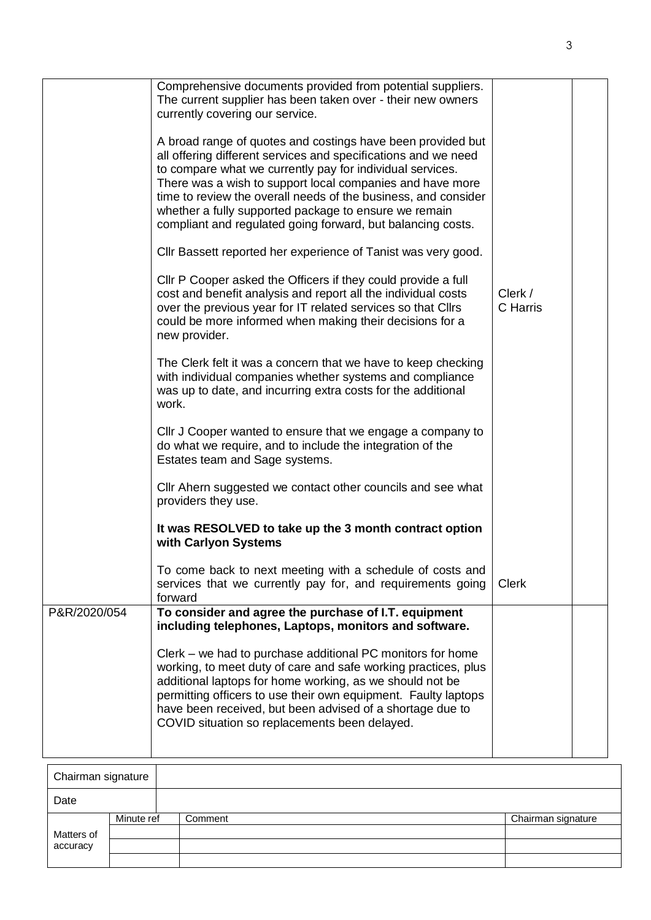|              | Comprehensive documents provided from potential suppliers.<br>The current supplier has been taken over - their new owners<br>currently covering our service.                                                                                                                                                                                                                                                                                      |                     |  |
|--------------|---------------------------------------------------------------------------------------------------------------------------------------------------------------------------------------------------------------------------------------------------------------------------------------------------------------------------------------------------------------------------------------------------------------------------------------------------|---------------------|--|
|              | A broad range of quotes and costings have been provided but<br>all offering different services and specifications and we need<br>to compare what we currently pay for individual services.<br>There was a wish to support local companies and have more<br>time to review the overall needs of the business, and consider<br>whether a fully supported package to ensure we remain<br>compliant and regulated going forward, but balancing costs. |                     |  |
|              | Cllr Bassett reported her experience of Tanist was very good.                                                                                                                                                                                                                                                                                                                                                                                     |                     |  |
|              | CIIr P Cooper asked the Officers if they could provide a full<br>cost and benefit analysis and report all the individual costs<br>over the previous year for IT related services so that Cllrs<br>could be more informed when making their decisions for a<br>new provider.                                                                                                                                                                       | Clerk /<br>C Harris |  |
|              | The Clerk felt it was a concern that we have to keep checking<br>with individual companies whether systems and compliance<br>was up to date, and incurring extra costs for the additional<br>work.                                                                                                                                                                                                                                                |                     |  |
|              | Cllr J Cooper wanted to ensure that we engage a company to<br>do what we require, and to include the integration of the<br>Estates team and Sage systems.                                                                                                                                                                                                                                                                                         |                     |  |
|              | Cllr Ahern suggested we contact other councils and see what<br>providers they use.                                                                                                                                                                                                                                                                                                                                                                |                     |  |
|              | It was RESOLVED to take up the 3 month contract option<br>with Carlyon Systems                                                                                                                                                                                                                                                                                                                                                                    |                     |  |
|              | To come back to next meeting with a schedule of costs and<br>services that we currently pay for, and requirements going<br>forward                                                                                                                                                                                                                                                                                                                | <b>Clerk</b>        |  |
| P&R/2020/054 | To consider and agree the purchase of I.T. equipment<br>including telephones, Laptops, monitors and software.                                                                                                                                                                                                                                                                                                                                     |                     |  |
|              | Clerk – we had to purchase additional PC monitors for home<br>working, to meet duty of care and safe working practices, plus<br>additional laptops for home working, as we should not be<br>permitting officers to use their own equipment. Faulty laptops<br>have been received, but been advised of a shortage due to<br>COVID situation so replacements been delayed.                                                                          |                     |  |
|              |                                                                                                                                                                                                                                                                                                                                                                                                                                                   |                     |  |

| Chairman signature |            |         |                    |  |
|--------------------|------------|---------|--------------------|--|
| Date               |            |         |                    |  |
|                    | Minute ref | Comment | Chairman signature |  |
| Matters of         |            |         |                    |  |
| accuracy           |            |         |                    |  |
|                    |            |         |                    |  |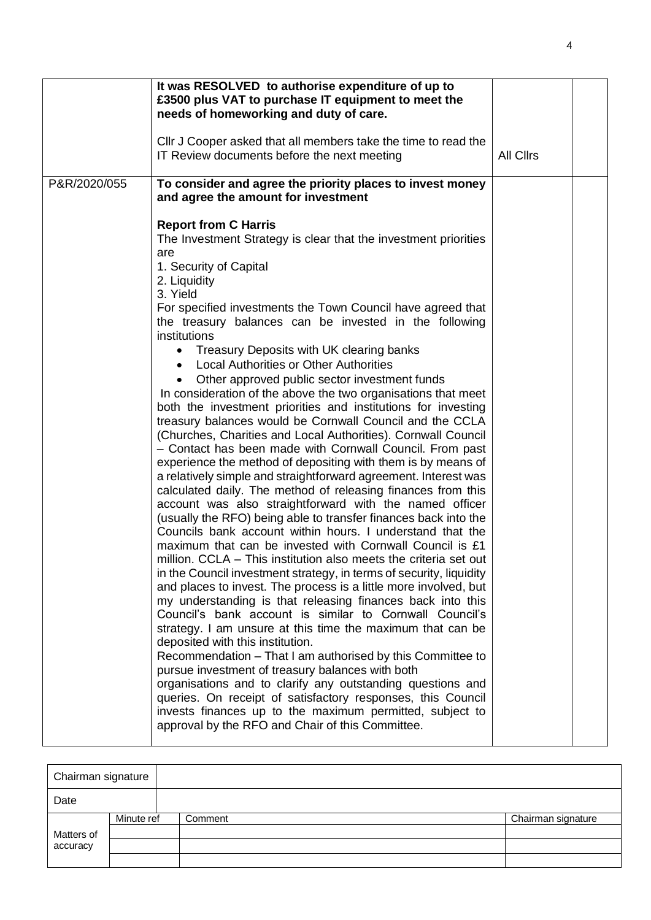|              | It was RESOLVED to authorise expenditure of up to<br>£3500 plus VAT to purchase IT equipment to meet the<br>needs of homeworking and duty of care.<br>CIIr J Cooper asked that all members take the time to read the<br>IT Review documents before the next meeting                                                                                                                                                                                                                                                                                                                                                                                                                                                                                                                                                                                                                                                                                                                                                                                                                                                                                                                                                                                                                                                                                                                                                                                                                                                                                                                                                                                                                                                                                                                                                                                                                                                                                                                                                                                                                                                                                               | All Cllrs |  |
|--------------|-------------------------------------------------------------------------------------------------------------------------------------------------------------------------------------------------------------------------------------------------------------------------------------------------------------------------------------------------------------------------------------------------------------------------------------------------------------------------------------------------------------------------------------------------------------------------------------------------------------------------------------------------------------------------------------------------------------------------------------------------------------------------------------------------------------------------------------------------------------------------------------------------------------------------------------------------------------------------------------------------------------------------------------------------------------------------------------------------------------------------------------------------------------------------------------------------------------------------------------------------------------------------------------------------------------------------------------------------------------------------------------------------------------------------------------------------------------------------------------------------------------------------------------------------------------------------------------------------------------------------------------------------------------------------------------------------------------------------------------------------------------------------------------------------------------------------------------------------------------------------------------------------------------------------------------------------------------------------------------------------------------------------------------------------------------------------------------------------------------------------------------------------------------------|-----------|--|
| P&R/2020/055 | To consider and agree the priority places to invest money<br>and agree the amount for investment<br><b>Report from C Harris</b><br>The Investment Strategy is clear that the investment priorities<br>are<br>1. Security of Capital<br>2. Liquidity<br>3. Yield<br>For specified investments the Town Council have agreed that<br>the treasury balances can be invested in the following<br>institutions<br>Treasury Deposits with UK clearing banks<br>$\bullet$<br><b>Local Authorities or Other Authorities</b><br>Other approved public sector investment funds<br>In consideration of the above the two organisations that meet<br>both the investment priorities and institutions for investing<br>treasury balances would be Cornwall Council and the CCLA<br>(Churches, Charities and Local Authorities). Cornwall Council<br>- Contact has been made with Cornwall Council. From past<br>experience the method of depositing with them is by means of<br>a relatively simple and straightforward agreement. Interest was<br>calculated daily. The method of releasing finances from this<br>account was also straightforward with the named officer<br>(usually the RFO) being able to transfer finances back into the<br>Councils bank account within hours. I understand that the<br>maximum that can be invested with Cornwall Council is £1<br>million. CCLA – This institution also meets the criteria set out<br>in the Council investment strategy, in terms of security, liquidity<br>and places to invest. The process is a little more involved, but<br>my understanding is that releasing finances back into this<br>Council's bank account is similar to Cornwall Council's<br>strategy. I am unsure at this time the maximum that can be<br>deposited with this institution.<br>Recommendation – That I am authorised by this Committee to<br>pursue investment of treasury balances with both<br>organisations and to clarify any outstanding questions and<br>queries. On receipt of satisfactory responses, this Council<br>invests finances up to the maximum permitted, subject to<br>approval by the RFO and Chair of this Committee. |           |  |

| Chairman signature |            |         |                    |  |
|--------------------|------------|---------|--------------------|--|
| Date               |            |         |                    |  |
|                    | Minute ref | Comment | Chairman signature |  |
| Matters of         |            |         |                    |  |
| accuracy           |            |         |                    |  |
|                    |            |         |                    |  |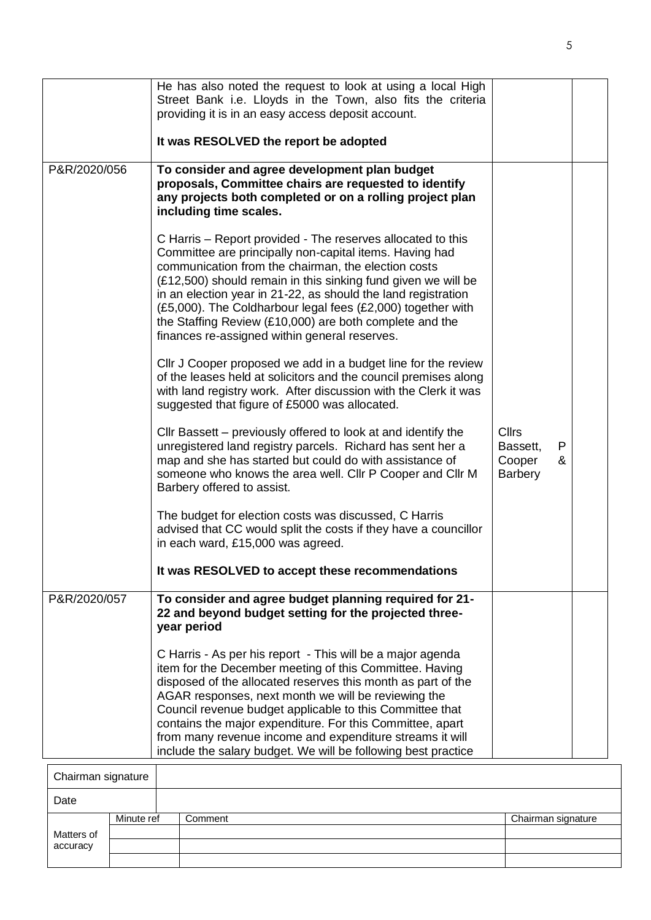| P&R/2020/056 | He has also noted the request to look at using a local High<br>Street Bank i.e. Lloyds in the Town, also fits the criteria<br>providing it is in an easy access deposit account.<br>It was RESOLVED the report be adopted<br>To consider and agree development plan budget                                                                                                                                                                                                                         |                                                                |  |
|--------------|----------------------------------------------------------------------------------------------------------------------------------------------------------------------------------------------------------------------------------------------------------------------------------------------------------------------------------------------------------------------------------------------------------------------------------------------------------------------------------------------------|----------------------------------------------------------------|--|
|              | proposals, Committee chairs are requested to identify<br>any projects both completed or on a rolling project plan<br>including time scales.                                                                                                                                                                                                                                                                                                                                                        |                                                                |  |
|              | C Harris – Report provided - The reserves allocated to this<br>Committee are principally non-capital items. Having had<br>communication from the chairman, the election costs<br>(£12,500) should remain in this sinking fund given we will be<br>in an election year in 21-22, as should the land registration<br>(£5,000). The Coldharbour legal fees (£2,000) together with<br>the Staffing Review (£10,000) are both complete and the<br>finances re-assigned within general reserves.         |                                                                |  |
|              | CIIr J Cooper proposed we add in a budget line for the review<br>of the leases held at solicitors and the council premises along<br>with land registry work. After discussion with the Clerk it was<br>suggested that figure of £5000 was allocated.                                                                                                                                                                                                                                               |                                                                |  |
|              | Cllr Bassett – previously offered to look at and identify the<br>unregistered land registry parcels. Richard has sent her a<br>map and she has started but could do with assistance of<br>someone who knows the area well. Cllr P Cooper and Cllr M<br>Barbery offered to assist.                                                                                                                                                                                                                  | <b>Cllrs</b><br>Bassett,<br>P<br>Cooper<br>&<br><b>Barbery</b> |  |
|              | The budget for election costs was discussed, C Harris<br>advised that CC would split the costs if they have a councillor<br>in each ward, £15,000 was agreed.                                                                                                                                                                                                                                                                                                                                      |                                                                |  |
|              | It was RESOLVED to accept these recommendations                                                                                                                                                                                                                                                                                                                                                                                                                                                    |                                                                |  |
| P&R/2020/057 | To consider and agree budget planning required for 21-<br>22 and beyond budget setting for the projected three-<br>year period                                                                                                                                                                                                                                                                                                                                                                     |                                                                |  |
|              | C Harris - As per his report - This will be a major agenda<br>item for the December meeting of this Committee. Having<br>disposed of the allocated reserves this month as part of the<br>AGAR responses, next month we will be reviewing the<br>Council revenue budget applicable to this Committee that<br>contains the major expenditure. For this Committee, apart<br>from many revenue income and expenditure streams it will<br>include the salary budget. We will be following best practice |                                                                |  |

| Chairman signature |            |         |                    |
|--------------------|------------|---------|--------------------|
| Date               |            |         |                    |
|                    | Minute ref | Comment | Chairman signature |
| Matters of         |            |         |                    |
| accuracy           |            |         |                    |
|                    |            |         |                    |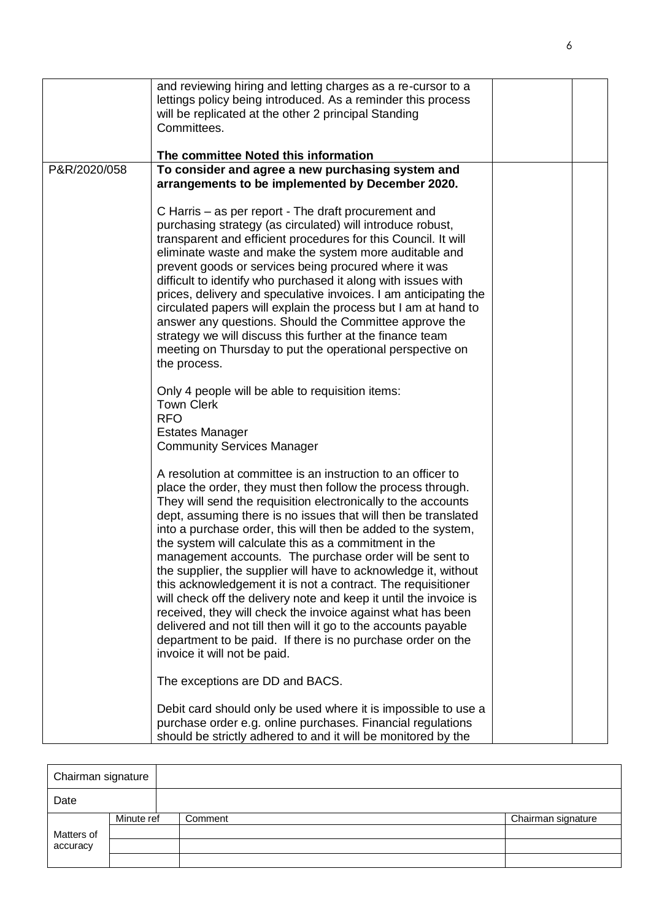|              | and reviewing hiring and letting charges as a re-cursor to a<br>lettings policy being introduced. As a reminder this process<br>will be replicated at the other 2 principal Standing<br>Committees.<br>The committee Noted this information                                                                                                                                                                                                                                                                                                                                                                                                                                                                                                                                                                                                                                                                                                                                                                                                                                                                                                                                       |  |
|--------------|-----------------------------------------------------------------------------------------------------------------------------------------------------------------------------------------------------------------------------------------------------------------------------------------------------------------------------------------------------------------------------------------------------------------------------------------------------------------------------------------------------------------------------------------------------------------------------------------------------------------------------------------------------------------------------------------------------------------------------------------------------------------------------------------------------------------------------------------------------------------------------------------------------------------------------------------------------------------------------------------------------------------------------------------------------------------------------------------------------------------------------------------------------------------------------------|--|
| P&R/2020/058 | To consider and agree a new purchasing system and<br>arrangements to be implemented by December 2020.<br>C Harris – as per report - The draft procurement and<br>purchasing strategy (as circulated) will introduce robust,<br>transparent and efficient procedures for this Council. It will<br>eliminate waste and make the system more auditable and<br>prevent goods or services being procured where it was<br>difficult to identify who purchased it along with issues with<br>prices, delivery and speculative invoices. I am anticipating the<br>circulated papers will explain the process but I am at hand to<br>answer any questions. Should the Committee approve the<br>strategy we will discuss this further at the finance team<br>meeting on Thursday to put the operational perspective on<br>the process.<br>Only 4 people will be able to requisition items:<br><b>Town Clerk</b><br><b>RFO</b><br><b>Estates Manager</b><br><b>Community Services Manager</b><br>A resolution at committee is an instruction to an officer to<br>place the order, they must then follow the process through.<br>They will send the requisition electronically to the accounts |  |
|              | dept, assuming there is no issues that will then be translated<br>into a purchase order, this will then be added to the system,<br>the system will calculate this as a commitment in the<br>management accounts. The purchase order will be sent to<br>the supplier, the supplier will have to acknowledge it, without<br>this acknowledgement it is not a contract. The requisitioner<br>will check off the delivery note and keep it until the invoice is<br>received, they will check the invoice against what has been<br>delivered and not till then will it go to the accounts payable<br>department to be paid. If there is no purchase order on the<br>invoice it will not be paid.<br>The exceptions are DD and BACS.<br>Debit card should only be used where it is impossible to use a<br>purchase order e.g. online purchases. Financial regulations<br>should be strictly adhered to and it will be monitored by the                                                                                                                                                                                                                                                  |  |

| Chairman signature |            |         |                    |
|--------------------|------------|---------|--------------------|
| Date               |            |         |                    |
|                    | Minute ref | Comment | Chairman signature |
| Matters of         |            |         |                    |
| accuracy           |            |         |                    |
|                    |            |         |                    |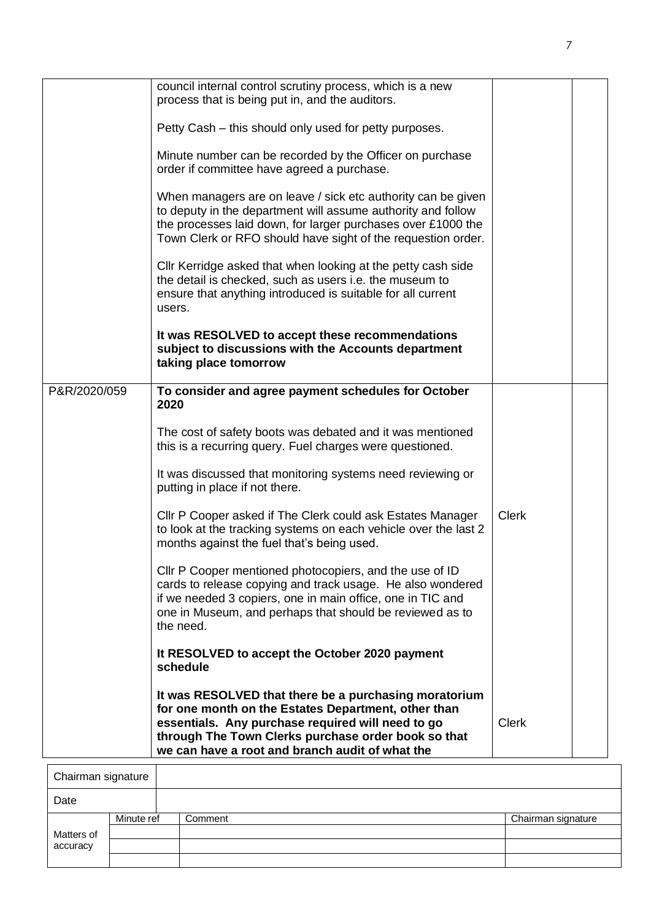|                    | council internal control scrutiny process, which is a new<br>process that is being put in, and the auditors.                                                                                                                                                                |              |  |
|--------------------|-----------------------------------------------------------------------------------------------------------------------------------------------------------------------------------------------------------------------------------------------------------------------------|--------------|--|
|                    | Petty Cash – this should only used for petty purposes.                                                                                                                                                                                                                      |              |  |
|                    | Minute number can be recorded by the Officer on purchase<br>order if committee have agreed a purchase.                                                                                                                                                                      |              |  |
|                    | When managers are on leave / sick etc authority can be given<br>to deputy in the department will assume authority and follow<br>the processes laid down, for larger purchases over £1000 the<br>Town Clerk or RFO should have sight of the requestion order.                |              |  |
|                    | Cllr Kerridge asked that when looking at the petty cash side<br>the detail is checked, such as users i.e. the museum to<br>ensure that anything introduced is suitable for all current<br>users.                                                                            |              |  |
|                    | It was RESOLVED to accept these recommendations<br>subject to discussions with the Accounts department<br>taking place tomorrow                                                                                                                                             |              |  |
| P&R/2020/059       | To consider and agree payment schedules for October<br>2020                                                                                                                                                                                                                 |              |  |
|                    | The cost of safety boots was debated and it was mentioned<br>this is a recurring query. Fuel charges were questioned.                                                                                                                                                       |              |  |
|                    | It was discussed that monitoring systems need reviewing or<br>putting in place if not there.                                                                                                                                                                                |              |  |
|                    | Cllr P Cooper asked if The Clerk could ask Estates Manager<br>to look at the tracking systems on each vehicle over the last 2<br>months against the fuel that's being used.                                                                                                 | <b>Clerk</b> |  |
|                    | Cllr P Cooper mentioned photocopiers, and the use of ID<br>cards to release copying and track usage. He also wondered<br>if we needed 3 copiers, one in main office, one in TIC and<br>one in Museum, and perhaps that should be reviewed as to<br>the need.                |              |  |
|                    | It RESOLVED to accept the October 2020 payment<br>schedule                                                                                                                                                                                                                  |              |  |
|                    | It was RESOLVED that there be a purchasing moratorium<br>for one month on the Estates Department, other than<br>essentials. Any purchase required will need to go<br>through The Town Clerks purchase order book so that<br>we can have a root and branch audit of what the | <b>Clerk</b> |  |
| Chairman signature |                                                                                                                                                                                                                                                                             |              |  |

| Chairman signature |            |         |                    |
|--------------------|------------|---------|--------------------|
| Date               |            |         |                    |
|                    | Minute ref | Comment | Chairman signature |
| Matters of         |            |         |                    |
| accuracy           |            |         |                    |
|                    |            |         |                    |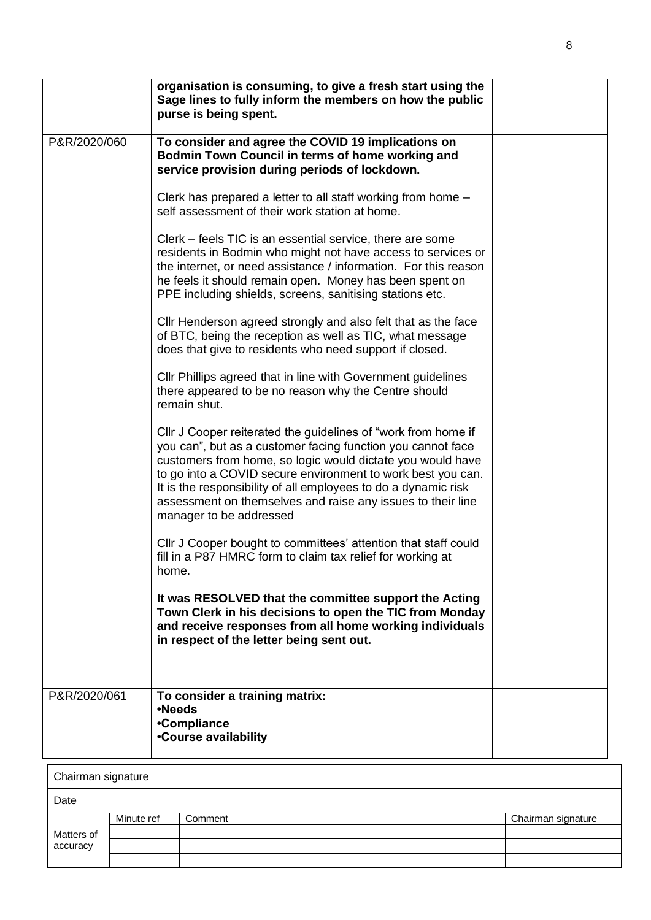|              | organisation is consuming, to give a fresh start using the<br>Sage lines to fully inform the members on how the public<br>purse is being spent.                                                                                                                                                                                                                                                                                                                                                                                                                                                                                                                                                                                                                                                                                                                                                                                  |  |
|--------------|----------------------------------------------------------------------------------------------------------------------------------------------------------------------------------------------------------------------------------------------------------------------------------------------------------------------------------------------------------------------------------------------------------------------------------------------------------------------------------------------------------------------------------------------------------------------------------------------------------------------------------------------------------------------------------------------------------------------------------------------------------------------------------------------------------------------------------------------------------------------------------------------------------------------------------|--|
| P&R/2020/060 | To consider and agree the COVID 19 implications on<br>Bodmin Town Council in terms of home working and<br>service provision during periods of lockdown.<br>Clerk has prepared a letter to all staff working from home -<br>self assessment of their work station at home.<br>Clerk – feels TIC is an essential service, there are some<br>residents in Bodmin who might not have access to services or<br>the internet, or need assistance / information. For this reason<br>he feels it should remain open. Money has been spent on<br>PPE including shields, screens, sanitising stations etc.<br>Cllr Henderson agreed strongly and also felt that as the face<br>of BTC, being the reception as well as TIC, what message<br>does that give to residents who need support if closed.<br>CIIr Phillips agreed that in line with Government guidelines<br>there appeared to be no reason why the Centre should<br>remain shut. |  |
|              | CIIr J Cooper reiterated the guidelines of "work from home if<br>you can", but as a customer facing function you cannot face<br>customers from home, so logic would dictate you would have<br>to go into a COVID secure environment to work best you can.<br>It is the responsibility of all employees to do a dynamic risk<br>assessment on themselves and raise any issues to their line<br>manager to be addressed<br>CIIr J Cooper bought to committees' attention that staff could<br>fill in a P87 HMRC form to claim tax relief for working at                                                                                                                                                                                                                                                                                                                                                                            |  |
|              | home.<br>It was RESOLVED that the committee support the Acting<br>Town Clerk in his decisions to open the TIC from Monday<br>and receive responses from all home working individuals<br>in respect of the letter being sent out.                                                                                                                                                                                                                                                                                                                                                                                                                                                                                                                                                                                                                                                                                                 |  |
| P&R/2020/061 | To consider a training matrix:<br>•Needs<br>•Compliance<br>•Course availability                                                                                                                                                                                                                                                                                                                                                                                                                                                                                                                                                                                                                                                                                                                                                                                                                                                  |  |

| Chairman signature |            |         |                    |
|--------------------|------------|---------|--------------------|
| Date               |            |         |                    |
|                    | Minute ref | Comment | Chairman signature |
| Matters of         |            |         |                    |
| accuracy           |            |         |                    |
|                    |            |         |                    |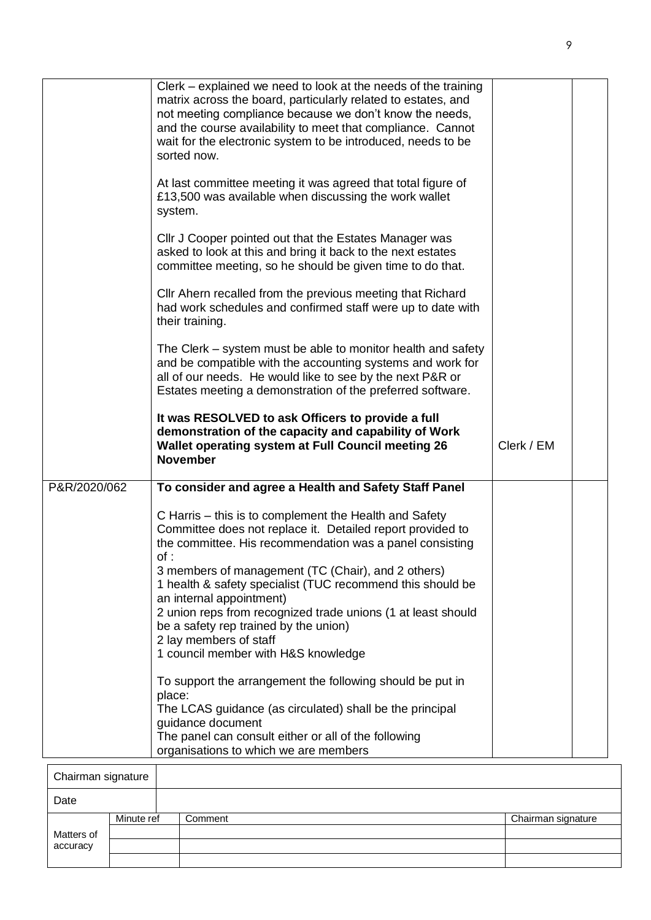|              | Clerk - explained we need to look at the needs of the training<br>matrix across the board, particularly related to estates, and<br>not meeting compliance because we don't know the needs,<br>and the course availability to meet that compliance. Cannot<br>wait for the electronic system to be introduced, needs to be<br>sorted now.<br>At last committee meeting it was agreed that total figure of<br>£13,500 was available when discussing the work wallet<br>system.<br>Cllr J Cooper pointed out that the Estates Manager was<br>asked to look at this and bring it back to the next estates<br>committee meeting, so he should be given time to do that.<br>Cllr Ahern recalled from the previous meeting that Richard<br>had work schedules and confirmed staff were up to date with<br>their training.<br>The Clerk – system must be able to monitor health and safety<br>and be compatible with the accounting systems and work for<br>all of our needs. He would like to see by the next P&R or<br>Estates meeting a demonstration of the preferred software.<br>It was RESOLVED to ask Officers to provide a full<br>demonstration of the capacity and capability of Work<br>Wallet operating system at Full Council meeting 26<br><b>November</b> | Clerk / EM |  |
|--------------|-------------------------------------------------------------------------------------------------------------------------------------------------------------------------------------------------------------------------------------------------------------------------------------------------------------------------------------------------------------------------------------------------------------------------------------------------------------------------------------------------------------------------------------------------------------------------------------------------------------------------------------------------------------------------------------------------------------------------------------------------------------------------------------------------------------------------------------------------------------------------------------------------------------------------------------------------------------------------------------------------------------------------------------------------------------------------------------------------------------------------------------------------------------------------------------------------------------------------------------------------------------------|------------|--|
| P&R/2020/062 | To consider and agree a Health and Safety Staff Panel                                                                                                                                                                                                                                                                                                                                                                                                                                                                                                                                                                                                                                                                                                                                                                                                                                                                                                                                                                                                                                                                                                                                                                                                             |            |  |
|              | C Harris – this is to complement the Health and Safety<br>Committee does not replace it. Detailed report provided to<br>the committee. His recommendation was a panel consisting<br>of:<br>3 members of management (TC (Chair), and 2 others)<br>1 health & safety specialist (TUC recommend this should be<br>an internal appointment)<br>2 union reps from recognized trade unions (1 at least should<br>be a safety rep trained by the union)<br>2 lay members of staff<br>1 council member with H&S knowledge                                                                                                                                                                                                                                                                                                                                                                                                                                                                                                                                                                                                                                                                                                                                                 |            |  |
|              | To support the arrangement the following should be put in<br>place:<br>The LCAS guidance (as circulated) shall be the principal<br>guidance document<br>The panel can consult either or all of the following<br>organisations to which we are members                                                                                                                                                                                                                                                                                                                                                                                                                                                                                                                                                                                                                                                                                                                                                                                                                                                                                                                                                                                                             |            |  |

| Chairman signature |            |         |                    |
|--------------------|------------|---------|--------------------|
| Date               |            |         |                    |
|                    | Minute ref | Comment | Chairman signature |
| Matters of         |            |         |                    |
| accuracy           |            |         |                    |
|                    |            |         |                    |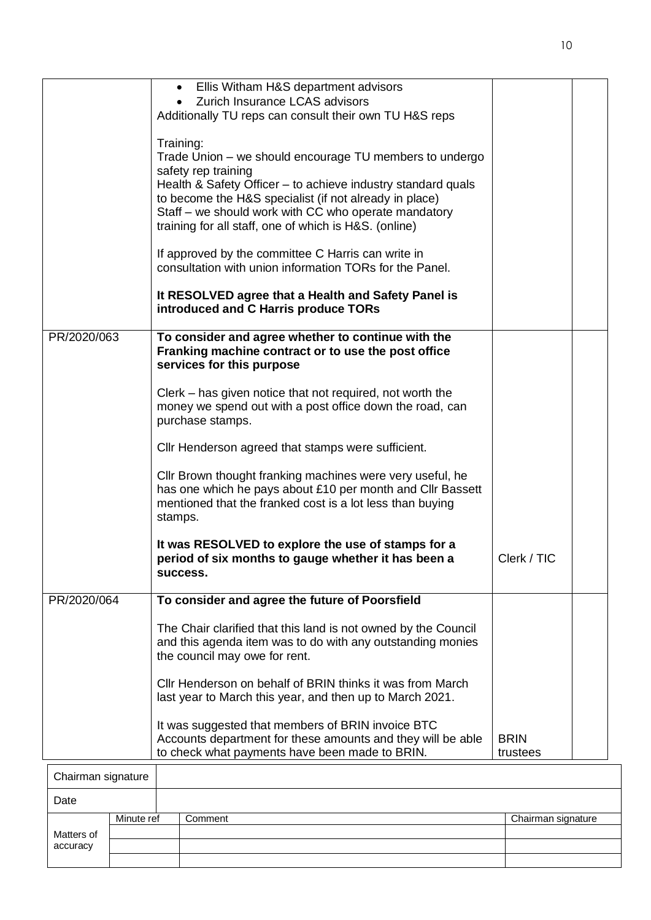|                    | Ellis Witham H&S department advisors<br>$\bullet$                                                                      |                    |  |
|--------------------|------------------------------------------------------------------------------------------------------------------------|--------------------|--|
|                    | Zurich Insurance LCAS advisors                                                                                         |                    |  |
|                    | Additionally TU reps can consult their own TU H&S reps                                                                 |                    |  |
|                    |                                                                                                                        |                    |  |
|                    | Training:                                                                                                              |                    |  |
|                    | Trade Union – we should encourage TU members to undergo                                                                |                    |  |
|                    | safety rep training                                                                                                    |                    |  |
|                    | Health & Safety Officer – to achieve industry standard quals<br>to become the H&S specialist (if not already in place) |                    |  |
|                    | Staff - we should work with CC who operate mandatory                                                                   |                    |  |
|                    | training for all staff, one of which is H&S. (online)                                                                  |                    |  |
|                    |                                                                                                                        |                    |  |
|                    | If approved by the committee C Harris can write in                                                                     |                    |  |
|                    | consultation with union information TORs for the Panel.                                                                |                    |  |
|                    |                                                                                                                        |                    |  |
|                    | It RESOLVED agree that a Health and Safety Panel is                                                                    |                    |  |
|                    | introduced and C Harris produce TORs                                                                                   |                    |  |
|                    |                                                                                                                        |                    |  |
| PR/2020/063        | To consider and agree whether to continue with the                                                                     |                    |  |
|                    | Franking machine contract or to use the post office                                                                    |                    |  |
|                    | services for this purpose                                                                                              |                    |  |
|                    |                                                                                                                        |                    |  |
|                    | Clerk – has given notice that not required, not worth the                                                              |                    |  |
|                    | money we spend out with a post office down the road, can                                                               |                    |  |
|                    | purchase stamps.                                                                                                       |                    |  |
|                    | Cllr Henderson agreed that stamps were sufficient.                                                                     |                    |  |
|                    |                                                                                                                        |                    |  |
|                    | Cllr Brown thought franking machines were very useful, he                                                              |                    |  |
|                    | has one which he pays about £10 per month and Cllr Bassett                                                             |                    |  |
|                    | mentioned that the franked cost is a lot less than buying                                                              |                    |  |
|                    | stamps.                                                                                                                |                    |  |
|                    |                                                                                                                        |                    |  |
|                    | It was RESOLVED to explore the use of stamps for a                                                                     |                    |  |
|                    | period of six months to gauge whether it has been a                                                                    | Clerk / TIC        |  |
|                    | success.                                                                                                               |                    |  |
|                    |                                                                                                                        |                    |  |
| PR/2020/064        | To consider and agree the future of Poorsfield                                                                         |                    |  |
|                    | The Chair clarified that this land is not owned by the Council                                                         |                    |  |
|                    | and this agenda item was to do with any outstanding monies                                                             |                    |  |
|                    | the council may owe for rent.                                                                                          |                    |  |
|                    |                                                                                                                        |                    |  |
|                    | Cllr Henderson on behalf of BRIN thinks it was from March                                                              |                    |  |
|                    | last year to March this year, and then up to March 2021.                                                               |                    |  |
|                    |                                                                                                                        |                    |  |
|                    | It was suggested that members of BRIN invoice BTC                                                                      |                    |  |
|                    | Accounts department for these amounts and they will be able                                                            | <b>BRIN</b>        |  |
|                    | to check what payments have been made to BRIN.                                                                         | trustees           |  |
| Chairman signature |                                                                                                                        |                    |  |
|                    |                                                                                                                        |                    |  |
| Date               |                                                                                                                        |                    |  |
| Minute ref         | Comment                                                                                                                | Chairman signature |  |

Matters of accuracy